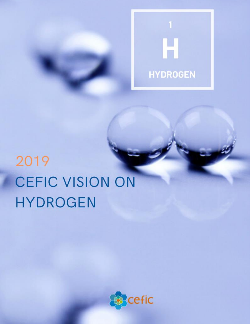

# 2019 **CEFIC VISION ON HYDROGEN**

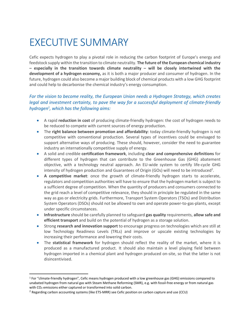# EXECUTIVE SUMMARY

Cefic expects hydrogen to play a pivotal role in reducing the carbon footprint of Europe's energy and feedstock supply within the transition to climate neutrality. **The future of the European chemical industry – especially in the transition towards climate neutrality – will be closely intertwined with the development of a hydrogen economy,** as it is both a major producer and consumer of hydrogen. In the future, hydrogen could also become a major building block of chemical products with a low GHG footprint and could help to decarbonise the chemical industry's energy consumption.

#### *For the vision to become reality, the European Union needs a Hydrogen Strategy, which creates legal and investment certainty, to pave the way for a successful deployment of climate-friendly hydrogen<sup>1</sup> , which has the following aims:*

- A rapid **reduction in cost** of producing climate-friendly hydrogen: the cost of hydrogen needs to be reduced to compete with current sources of energy production.
- The **right balance between promotion and affordability**: today climate-friendly hydrogen is not competitive with conventional production. Several types of incentives could be envisaged to support alternative ways of producing. These should, however, consider the need to guarantee industry an internationally competitive supply of energy.
- A solid and credible **certification framework**, including **clear and comprehensive definitions** for different types of hydrogen that can contribute to the Greenhouse Gas (GHG) abatement objective, with a technology neutral approach. An EU-wide system to certify life-cycle GHG intensity of hydrogen production and Guarantees of Origin (GOs) will need to be introduced<sup>2</sup>.
- **A competitive market**: once the growth of climate-friendly hydrogen starts to accelerate, regulators and competition authorities will have to ensure that the hydrogen market is subject to a sufficient degree of competition. When the quantity of producers and consumers connected to the grid reach a level of competitive relevance, they should in principle be regulated in the same way as gas or electricity grids. Furthermore, Transport System Operators (TSOs) and Distribution System Operators (DSOs) should not be allowed to own and operate power-to-gas-plants, except under specific circumstances.
- **Infrastructure** should be carefully planned to safeguard **gas quality** requirements, **allow safe and efficient transport** and build on the potential of hydrogen as a storage solution.
- Strong **research and innovation support** to encourage progress on technologies which are still at low Technology Readiness Levels (TRLs) and improve or upscale existing technologies by increasing their performance and lowering their costs.
- The **statistical framework** for hydrogen should reflect the reality of the market, where it is produced as a manufactured product. It should also maintain a level playing field between hydrogen imported in a chemical plant and hydrogen produced on-site, so that the latter is not disincentivised.

<sup>1</sup> For "climate-friendly hydrogen", Cefic means hydrogen produced with a low greenhouse gas (GHG) emissions compared to unabated hydrogen from natural gas with Steam Methane Reforming (SMR), e.g. with fossil-free energy or from natural gas with CO<sub>2</sub> emissions either captured or transformed into solid carbon.

<sup>&</sup>lt;sup>2</sup> Regarding carbon accounting systems (like ETS-MRR) see Cefic position on carbon capture and use (CCU)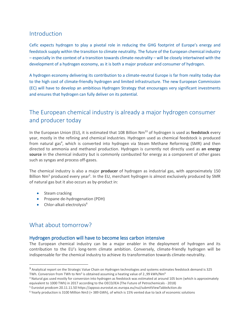## Introduction

Cefic expects hydrogen to play a pivotal role in reducing the GHG footprint of Europe's energy and feedstock supply within the transition to climate neutrality. The future of the European chemical industry – especially in the context of a transition towards climate-neutrality – will be closely intertwined with the development of a hydrogen economy, as it is both a major producer and consumer of hydrogen.

A hydrogen economy delivering its contribution to a climate-neutral Europe is far from reality today due to the high cost of climate-friendly hydrogen and limited infrastructure. The new European Commission (EC) will have to develop an ambitious Hydrogen Strategy that encourages very significant investments and ensures that hydrogen can fully deliver on its potential.

# The European chemical industry is already a major hydrogen consumer and producer today

In the European Union (EU), it is estimated that 108 Billion Nm<sup>33</sup> of hydrogen is used as **feedstock** every year, mostly in the refining and chemical industries. Hydrogen used as chemical feedstock is produced from natural gas<sup>4</sup>, which is converted into hydrogen via Steam Methane Reforming (SMR) and then directed to ammonia and methanol production. Hydrogen is currently not directly used as **an energy source** in the chemical industry but is commonly combusted for energy as a component of other gases such as syngas and process off-gases.

The chemical industry is also a major **producer** of hydrogen as industrial gas, with approximately 150 Billion Nm<sup>3</sup> produced every year<sup>5</sup>. In the EU, merchant hydrogen is almost exclusively produced by SMR of natural gas but it also occurs as by-product in:

- Steam cracking
- Propane de-hydrogenation (PDH)
- $\bullet$  Chlor-alkali electrolysis $^6$

### What about tomorrow?

#### Hydrogen production will have to become less carbon intensive

The European chemical industry can be a major enabler in the deployment of hydrogen and its contribution to the EU's long-term climate ambition. Conversely, climate-friendly hydrogen will be indispensable for the chemical industry to achieve its transformation towards climate-neutrality.

<sup>&</sup>lt;sup>3</sup> Analytical report on the Strategic Value Chain on Hydrogen technologies and systems estimates feedstock demand is 325 TWh. Conversion from TWh to Nm<sup>3</sup> is obtained assuming a heating value of 2.,99 kWh/Nm<sup>3</sup>

<sup>4</sup> Natural gas used mostly for conversion into hydrogen as feedstock was estimated at around 105 bcm (which is approximately equivalent to 1000 TWh) in 2017 according to the OECD/IEA (The Future of Petrochemicals - 2018)

<sup>5</sup> Eurostat prodcom 20.11.11.50 https://appsso.eurostat.ec.europa.eu/nui/submitViewTableAction.do

<sup>6</sup> Yearly production is 3100 Million Nm3 (≈ 389 GWh), of which is 15% vented due to lack of economic solutions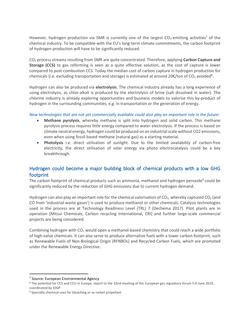However, hydrogen production via SMR is currently one of the largest  $CO<sub>2</sub>$ -emitting activities<sup>7</sup> of the chemical industry. To be compatible with the EU's long-term climate commitments, the carbon footprint of hydrogen production will have to be significantly reduced.

CO<sup>2</sup> process streams resulting from SMR are quite concentrated. Therefore, applying **Carbon Capture and Storage (CCS)** to gas reforming is seen as a quite effective solution, as the cost of capture is lower compared to post-combustion CCS. Today the median cost of carbon capture in hydrogen production for chemicals (i.e. excluding transportation and storage) is estimated at around 20€/ton of CO<sub>2</sub> avoided<sup>8</sup>.

Hydrogen can also be produced via **electrolysis**. The chemical industry already has a long experience of using electrolysis, as chlor-alkali is produced by the electrolysis of brine (salt dissolved in water). The chlorine industry is already exploring opportunities and business models to valorise this by-product of hydrogen in the surrounding communities, e.g. in transportation or the generation of energy.

*New technologies that are not yet commercially available could also play an important role in the future:*

- **Methane pyrolysis**, whereby methane is split into hydrogen and solid carbon. This methane pyrolysis process requires little energy compared to water electrolysis. If the process is based on climate neutral energy, hydrogen could be produced on an industrial scale without CO2 emissions, even when using fossil-based methane (natural gas) as a starting material.
- **Photolysis** i.e. direct utilisation of sunlight. Due to the limited availability of carbon-free electricity, the direct utilisation of solar energy via photo electrocatalysis could be a key breakthrough.

#### Hydrogen could become a major building block of chemical products with a low GHG footprint

The carbon footprint of chemical products such as ammonia, methanol and hydrogen peroxide<sup>9</sup> could be significantly reduced by the reduction of GHG emissions due to current hydrogen demand.

Hydrogen can also play an important role for the chemical valorisation of  $CO<sub>2</sub>$ , whereby captured  $CO<sub>2</sub>$  (and CO from 'industrial waste gases') is used to produce methanol or other chemicals. Catalysis technologies used in the process are at Technology Readiness Level (TRL) 7 (Dechema 2017). Pilot plants are in operation (Mitsui Chemicals, Carbon recycling International, CRI) and further large-scale commercial projects are being considered.

Combining hydrogen with CO<sub>2</sub> would open a methanol-based chemistry that could reach a wide portfolio of high-value chemicals. It can also serve to produce alternative fuels with a lower carbon footprint, such as Renewable Fuels of Non-Biological Origin (RFNBOs) and Recycled Carbon Fuels, which are promoted under the Renewable Energy Directive.

<sup>7</sup> Source: European Environmental Agency

<sup>8</sup> The potential for CCS and CCU in Europe, report to the 32nd meeting of the European gas regulatory forum 5-6 June 2019, coordinated by IOGP

<sup>&</sup>lt;sup>9</sup> Specialty chemical uses for bleaching or as rocket propellant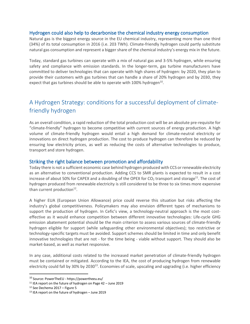#### Hydrogen could also help to decarbonise the chemical industry energy consumption

Natural gas is the biggest energy source in the EU chemical industry, representing more than one third (34%) of its total consumption in 2016 (i.e. 203 TWh). Climate-friendly hydrogen could partly substitute natural gas consumption and represent a bigger share of the chemical industry's energy mix in the future.

Today, standard gas turbines can operate with a mix of natural gas and 3-5% hydrogen, while ensuring safety and compliance with emission standards. In the longer-term, gas turbine manufacturers have committed to deliver technologies that can operate with high shares of hydrogen: by 2020, they plan to provide their customers with gas turbines that can handle a share of 20% hydrogen and by 2030, they expect that gas turbines should be able to operate with 100% hydrogen<sup>10</sup>.

# A Hydrogen Strategy: conditions for a successful deployment of climatefriendly hydrogen

As an overall condition, a rapid reduction of the total production cost will be an absolute pre-requisite for "climate-friendly" hydrogen to become competitive with current sources of energy production. A high volume of climate-friendly hydrogen would entail a high demand for climate-neutral electricity or innovations on direct hydrogen production. The cost to produce hydrogen can therefore be reduced by ensuring low electricity prices, as well as reducing the costs of alternative technologies to produce, transport and store hydrogen.

#### Striking the right balance between promotion and affordability

Today there is not a sufficient economic case behind hydrogen produced with CCS or renewable electricity as an alternative to conventional production. Adding CCS to SMR plants is expected to result in a cost increase of about 50% for CAPEX and a doubling of the OPEX for CO<sub>2</sub> transport and storage<sup>11</sup>. The cost of hydrogen produced from renewable electricity is still considered to be three to six times more expensive than current production<sup>12</sup>.

A higher EUA (European Union Allowance) price could reverse this situation but risks affecting the industry's global competitiveness. Policymakers may also envision different types of mechanisms to support the production of hydrogen. In Cefic's view, a technology-neutral approach is the most costeffective as it would enhance competition between different innovative technologies: Life-cycle GHG emission abatement potential should be the main criterion to assess various sources of climate-friendly hydrogen eligible for support (while safeguarding other environmental objectives); too restrictive or technology-specific targets must be avoided. Support schemes should be limited in time and only benefit innovative technologies that are not - for the time being - viable without support. They should also be market-based, as well as market responsive.

In any case, additional costs related to the increased market penetration of climate-friendly hydrogen must be contained or mitigated. According to the IEA, the cost of producing hydrogen from renewable electricity could fall by 30% by 2030<sup>13</sup>. Economies of scale, upscaling and upgrading (i.e. higher efficiency

<sup>10</sup> Source: PowerTheEU - <https://powertheeu.eu/>

<sup>11</sup> IEA report on the future of hydrogen on Page 42 – June 2019

<sup>12</sup> See Dechema 2017 – Figure 5

<sup>13</sup> IEA report on the future of hydrogen – June 2019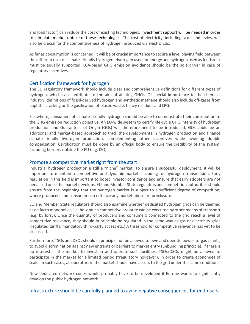and load factor) can reduce the cost of existing technologies. Investment support will be needed in order to stimulate market uptake of these technologies. The cost of electricity, including taxes and levies, will also be crucial for the competitiveness of hydrogen produced via electrolysis.

As far as consumption is concerned, it will be of crucial importance to secure a level playing field between the different uses of climate-friendly hydrogen. Hydrogen used for energy and hydrogen used as feedstock must be equally supported. LCA-based GHG emission avoidance should be the sole driver in case of regulatory incentives.

#### Certification framework for hydrogen

The EU regulatory framework should include clear and comprehensive definitions for different types of hydrogen, which can contribute to the aim of abating GHGs. Of special importance to the chemical industry, definitions of fossil-derived hydrogen and synthetic methane should also include off-gases from naphtha cracking or the gasification of plastic waste, heavy residues and LPG.

Elsewhere, consumers of climate-friendly hydrogen should be able to demonstrate their contribution to the GHG emission reduction objective. An EU-wide system to certify life-cycle GHG intensity of hydrogen production and Guarantees of Origin (GOs) will therefore need to be introduced. GOs could be an additional and market-based approach to track the developments in hydrogen production and finance climate-friendly hydrogen production, complementing other incentives while avoiding double compensation. Certification must be done by an official body to ensure the credibility of the system, including borders outside the EU (e.g. ISO).

#### Promote a competitive market right from the start

Industrial hydrogen production is still a "niche" market. To ensure a successful deployment, it will be important to maintain a competitive and dynamic market, including for hydrogen transmission. Early regulation in this field is important to boost investor confidence and ensure that early adopters are not penalised once the market develops. EU and Member State regulators and competition authorities should ensure from the beginning that the hydrogen market is subject to a sufficient degree of competition, where producers and consumers do not face any market abuse or foreclosure.

EU and Member State regulators should also examine whether dedicated hydrogen grids can be deemed as de facto monopolies, i.e. how much competitive pressure can be executed by other means of transport (e.g. by lorry). Once the quantity of producers and consumers connected to the grid reach a level of competitive relevance, they should in principle be regulated in the same way as gas or electricity grids (regulated tariffs, mandatory third-party access etc.) A threshold for competitive relevance has yet to be discussed.

Furthermore, TSOs and DSOs should in principle not be allowed to own and operate power-to-gas-plants, to avoid discrimination against new entrants or barriers to market entry (unbundling principle). If there is no interest in the market to invest in and operate such facilities, TSOs/DSOs might be allowed to participate in the market for a limited period ("regulatory holidays"), in order to create economies of scale. In such cases, all operators in the market should have access to the grid under the same conditions.

New dedicated network codes would probably have to be developed if Europe wants to significantly develop the public hydrogen network.

#### Infrastructure should be carefully planned to avoid negative consequences for end-users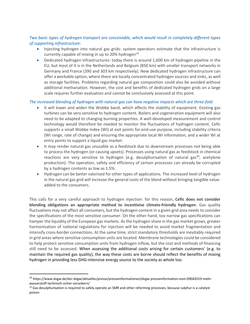#### *Two basic types of hydrogen transport are conceivable, which would result in completely different types of supporting infrastructure:*

- Injecting hydrogen into natural gas grids: system operators estimate that the infrastructure is currently capable of mixing in up to 20% hydrogen<sup>14</sup>
- Dedicated hydrogen infrastructures: today there is around 1,600 km of hydrogen pipeline in the EU, but most of it is in the Netherlands and Belgium (850 km) with smaller transport networks in Germany and France (390 and 303 km respectively). New dedicated hydrogen infrastructure can offer a workable option, where there are locally concentrated hydrogen sources and sinks, as well as storage facilities. Problems regarding natural gas composition could also be avoided without additional methanation. However, the cost and benefits of dedicated hydrogen grids on a large scale requires further evaluation and cannot be conclusively assessed at this point.

#### *The increased blending of hydrogen with natural gas can have negative impacts which are three-fold:*

- It will lower and widen the Wobbe band, which affects the stability of equipment. Existing gas turbines can be very sensitive to hydrogen content. Boilers and cogeneration equipment will also need to be adapted to changing burning properties. A well-developed measurement and control technology would therefore be needed to monitor the fluctuations of hydrogen content. Cefic supports a small Wobbe Index (WI) at exit points for end-use purpose, including stability criteria (WI range, rate of change) and ensuring the appropriate local WI information, and a wider WI at entry points to support a liquid gas market.
- It may render natural gas unusable as a feedstock due to downstream processes not being able to process the hydrogen (or causing upsets). Processes using natural gas as feedstock in chemical reactions are very sensitive to hydrogen (e.g. desulphurisation of natural gas<sup>15</sup>, acetylene production). The operation, safety and efficiency of certain processes can already be corrupted by a hydrogen contents as low as 1.5%.
- Hydrogen can be better valorised for other types of applications. The increased level of hydrogen in the natural gas grid will increase the general costs of the blend without bringing tangible valueadded to the consumers.

This calls for a very careful approach to hydrogen injection: for this reason, **Cefic does not consider blending obligations an appropriate method to incentivise climate-friendly hydrogen**. Gas quality fluctuations may not affect all consumers, but the hydrogen content in a given grid area needs to consider the specifications of the most sensitive consumer. On the other hand, too narrow gas specifications can hamper the liquidity of the European gas markets. As the hydrogen share in the gas market grows, greater harmonisation of national regulations for injection will be needed to avoid market fragmentation and intensify cross-border connections. At the same time, strict mandatory thresholds are inevitably required in grid areas where sensitive consumption units are located. Membrane technologies could be considered to help protect sensitive consumption units from hydrogen inflow, but the cost and methods of financing still need to be assessed. When assessing the additional costs arising for certain customers' (e.g. to maintain the required gas quality), the way these costs are borne should reflect the benefits of mixing hydrogen in providing less GHG-intensive energy source to the society as whole too.

<sup>14</sup> https://www.dvgw.de/der-dvgw/aktuelles/presse/presseinformationen/dvgw-presseinformation-vom-09042019-mehrwasserstoff-technisch-sicher-verankern/

<sup>15</sup> Gas desulphurisation is required to safely operate an SMR and other reforming processes, because sulphur is a catalyst poison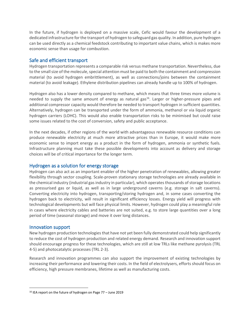In the future, if hydrogen is deployed on a massive scale, Cefic would favour the development of a dedicated infrastructure for the transport of hydrogen to safeguard gas quality. In addition, pure hydrogen can be used directly as a chemical feedstock contributing to important value chains, which is makes more economic sense than usage for combustion.

#### Safe and efficient transport

Hydrogen transportation represents a comparable risk versus methane transportation. Nevertheless, due to the small size of the molecule, special attention must be paid to both the containment and compression material (to avoid hydrogen embrittlement), as well as connections/joins between the containment material (to avoid leakage). Ethylene distribution pipelines can already handle up to 100% of hydrogen.

Hydrogen also has a lower density compared to methane, which means that three times more volume is needed to supply the same amount of energy as natural gas<sup>16</sup>. Larger or higher-pressure pipes and additional compressor capacity would therefore be needed to transport hydrogen in sufficient quantities. Alternatively, hydrogen can be transported under the form of ammonia, methanol or via liquid organic hydrogen carriers (LOHC). This would also enable transportation risks to be minimised but could raise some issues related to the cost of conversion, safety and public acceptance.

In the next decades, if other regions of the world with advantageous renewable resource conditions can produce renewable electricity at much more attractive prices than in Europe, it would make more economic sense to import energy as a product in the form of hydrogen, ammonia or synthetic fuels. Infrastructure planning must take these possible developments into account as delivery and storage choices will be of critical importance for the longer term.

#### Hydrogen as a solution for energy storage

Hydrogen can also act as an important enabler of the higher penetration of renewables, allowing greater flexibility through sector coupling. Scale-proven stationary storage technologies are already available in the chemical industry (industrial gas industry in particular), which operates thousands of storage locations as pressurised gas or liquid, as well as in large underground caverns (e.g. storage in salt caverns). Converting electricity into hydrogen, transporting/storing hydrogen and, in some cases converting the hydrogen back to electricity, will result in significant efficiency losses. Energy yield will progress with technological developments but will face physical limits. However, hydrogen could play a meaningful role in cases where electricity cables and batteries are not suited, e.g. to store large quantities over a long period of time (seasonal storage) and move it over long distances.

#### Innovation support

New hydrogen production technologiesthat have not yet been fully demonstrated could help significantly to reduce the cost of hydrogen production and related energy demand. Research and innovation support should encourage progress for these technologies, which are still at low TRLs like methane pyrolysis (TRL 4-5) and photocatalytic processes (TRL 2-3).

Research and innovation programmes can also support the improvement of existing technologies by increasing their performance and lowering their costs. In the field of electrolysers, efforts should focus on efficiency, high pressure membranes, lifetime as well as manufacturing costs.

<sup>16</sup> IEA report on the future of hydrogen on Page 77 – June 2019